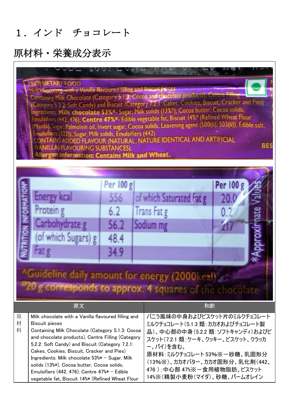## 1.インド チョコレート

| PROPRIETARY FOOD<br>MillCchocolatg-with a Vanilla flavoured filling and Biscuit pieces<br>Containing Milk Chocolate (Category 5.1.3: Cocoa and chocolate products), Centre Filli<br>(Category 5.2.2:Soft Candy) and Biscuit (Category 7.2.1:Cakes, Cookies, Biscuit, Cracker and Pies)<br>Ingredients: Milk chocolate 53%*- Sugar, Milk solids (13%*), Cocoa butter, Cocoa solids,<br>Emulsifiers (442, 476); Centre 47%*- Edible vegetable fat, Biscuit 14%* (Refined Wheat Flour<br>(Maida), Sugar, Palmolein oil, Invert sugar, Cocoa solids, Leavening agent (500(ii), 503(ii)), Edible salt,<br>Emulsifiers (322)), Sugar, Milk solids, Emulsifiers (442)<br>CONTAINS ADDED FLAVOUR (NATURAL, NATURE IDENTICAL AND ARTIFICIAL<br><b>BES</b><br>(VANILLA) FLAVOURING SUBSTANCES).<br>Allergen information: Contains Milk and Wheat. |                                                                                                                                     |                                                 |                                                                                                                                                                                                                                                                                         |                                                                                                           |                   |                          |  |
|-----------------------------------------------------------------------------------------------------------------------------------------------------------------------------------------------------------------------------------------------------------------------------------------------------------------------------------------------------------------------------------------------------------------------------------------------------------------------------------------------------------------------------------------------------------------------------------------------------------------------------------------------------------------------------------------------------------------------------------------------------------------------------------------------------------------------------------------|-------------------------------------------------------------------------------------------------------------------------------------|-------------------------------------------------|-----------------------------------------------------------------------------------------------------------------------------------------------------------------------------------------------------------------------------------------------------------------------------------------|-----------------------------------------------------------------------------------------------------------|-------------------|--------------------------|--|
|                                                                                                                                                                                                                                                                                                                                                                                                                                                                                                                                                                                                                                                                                                                                                                                                                                         | <b>Energy kcal</b><br>Protein g<br>Carbohydrate g<br>(of which Sugars) g<br>Fat g<br>"Guideline daily amount for energy (2000keal)" | Per 100 g<br>556<br>6.2<br>56.2<br>48.4<br>34.9 |                                                                                                                                                                                                                                                                                         | of which Saturated Fat g<br>Trans Fat g<br>Sodium mg<br>corresponds to approx. 4 squares of the chocolate | Per 100 g<br>20.0 | nate<br><b>*Approxir</b> |  |
| 原文<br>原<br>Milk chocolate with a Vanilla flavoured filling and<br>材<br><b>Biscuit pieces</b><br>料<br>Containing Milk Chocolate (Category 5.1.3: Cocoa<br>and chocolate products), Centre Filling (Category<br>5.2.2: Soft Candy) and Biscuit (Category 7.2.1:<br>Cakes, Cookies, Biscuit, Cracker and Pies)<br>Ingredients: Milk chocolate 53%* - Sugar, Milk<br>solids (13%*), Cocoa butter, Cocoa solids,<br>Emulsifiers $(442, 476)$ ; Centre $47\%$ * - Edible<br>vegetable fat, Biscuit 14%* (Refined Wheat Flour                                                                                                                                                                                                                                                                                                                  |                                                                                                                                     |                                                 | 和訳<br>バニラ風味の中身およびビスケット片のミルクチョコレート<br>ミルクチョコレート(5.1.3 類 : カカオおよびチョコレート製<br>品)、中心部の中身(5.2.2 類:ソフトキャンディ)およびビ<br>スケット (7.2.1 類 : ケーキ、クッキー、ビスケット、クラッカ<br>ー、パイ)を含む。<br>原材料:ミルクチョコレート53%※一砂糖、乳固形分<br>(13%※)、カカオバター、カカオ固形分、乳化剤(442、<br>476);中心部 47%※一食用植物脂肪、ビスケット<br>14%※(精製小麦粉(マイダ)、砂糖、パームオレイン |                                                                                                           |                   |                          |  |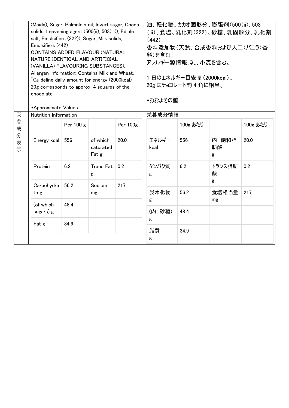|                            | Emulsifiers (442)<br>chocolate | (Maida), Sugar, Palmolein oil, Invert sugar, Cocoa<br>solids, Leavening agent (500(ii), 503(iii)), Edible<br>salt, Emulsifiers (322)), Sugar, Milk solids,<br>CONTAINS ADDED FLAVOUR (NATURAL,<br>NATURE IDENTICAL AND ARTIFICIAL<br>(VANILLA) FLAVOURING SUBSTANCES).<br>Allergen information: Contains Milk and Wheat.<br>Cuideline daily amount for energy (2000kcal)<br>20g corresponds to approx. 4 squares of the<br>*Approximate Values |                                |          | 油、転化糖、カカオ固形分、膨張剤(500(ii), 503<br>(iii)、食塩、乳化剤(322)、砂糖、乳固形分、乳化剤<br>(442)<br>香料添加物(天然、合成香料および人工(バニラ)香<br>料)を含む。<br>アレルギー源情報:乳、小麦を含む。<br>1日のエネルギー目安量(2000kcal)。<br>20g はチョコレート約 4 角に相当。<br>*おおよその値 |          |                  |          |
|----------------------------|--------------------------------|------------------------------------------------------------------------------------------------------------------------------------------------------------------------------------------------------------------------------------------------------------------------------------------------------------------------------------------------------------------------------------------------------------------------------------------------|--------------------------------|----------|-------------------------------------------------------------------------------------------------------------------------------------------------------------------------------------------------|----------|------------------|----------|
| 栄<br>養<br>成<br>分<br>表<br>示 | Nutrition Information          |                                                                                                                                                                                                                                                                                                                                                                                                                                                |                                | 栄養成分情報   |                                                                                                                                                                                                 |          |                  |          |
|                            |                                | Per 100 g                                                                                                                                                                                                                                                                                                                                                                                                                                      |                                | Per 100g |                                                                                                                                                                                                 | 100g あたり |                  | 100g あたり |
|                            | Energy kcal                    | 556                                                                                                                                                                                                                                                                                                                                                                                                                                            | of which<br>saturated<br>Fat g | 20.0     | エネルギー<br>kcal                                                                                                                                                                                   | 556      | 内 飽和脂<br>肪酸<br>g | 20.0     |
|                            | Protein                        | 6.2                                                                                                                                                                                                                                                                                                                                                                                                                                            | Trans Fat<br>g                 | 0.2      | タンパク質<br>g                                                                                                                                                                                      | 6.2      | トランス脂肪<br>酸<br>g | 0.2      |
|                            | Carbohydra<br>te g             | 56.2                                                                                                                                                                                                                                                                                                                                                                                                                                           | Sodium<br>mg                   | 217      | 炭水化物                                                                                                                                                                                            | 56.2     | 食塩相当量            | 217      |
|                            | (of which<br>sugars) g         | 48.4                                                                                                                                                                                                                                                                                                                                                                                                                                           |                                |          | g<br>(内 砂糖)                                                                                                                                                                                     | 48.4     | mg               |          |
|                            | Fat g                          | 34.9                                                                                                                                                                                                                                                                                                                                                                                                                                           |                                |          | g<br>脂質<br>g                                                                                                                                                                                    | 34.9     |                  |          |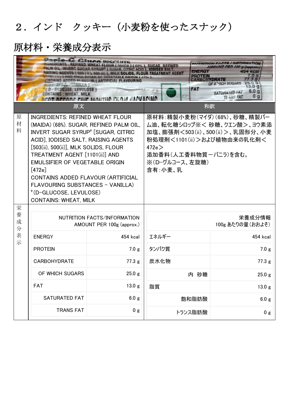## 2.インド クッキー(小麦粉を使ったスナック)

|                  | Damle C. Cinco RICCUITS<br>WHEAT FLOUR (MAIDA) (68%), SUGAR, REFINED<br>SUGAR SYRUP <sup>#</sup> [ SUGAR, CITRIC ACID ], IODISED SALT,<br>ENERGY<br>4 KCal<br>), 500 (ii) ], MILK SOLIDS, FLOUR TREATMENT AGENT<br><b>PROTEIN</b><br>$\mathbf{0}$ a<br><b>ORIGIN</b> [ 472e ]<br>.3 <sub>q</sub><br><b>CARBORYDRATE</b><br>OF WINCH SUGARS<br>D J.C<br>3.0q<br>FAT<br>- GLUCOSE, LEVULOSE)<br>6.0q<br>SATURATED FAT<br>ONTAINS: WHEAT, MILK<br>0 <sub>g</sub><br><b>TEANS FAT</b> |                                                          |                                                                                                                                                                                         |                |  |  |  |  |
|------------------|-----------------------------------------------------------------------------------------------------------------------------------------------------------------------------------------------------------------------------------------------------------------------------------------------------------------------------------------------------------------------------------------------------------------------------------------------------------------------------------|----------------------------------------------------------|-----------------------------------------------------------------------------------------------------------------------------------------------------------------------------------------|----------------|--|--|--|--|
|                  | 原文                                                                                                                                                                                                                                                                                                                                                                                                                                                                                |                                                          | 和訳                                                                                                                                                                                      |                |  |  |  |  |
| 原<br>材<br>料      | <b>INGREDIENTS: REFINED WHEAT FLOUR</b><br>(MAIDA) (68%). SUGAR, REFINED PALM OIL,<br><b>INVERT SUGAR SYRUP<sup>#</sup></b> [SUGAR, CITRIC<br>ACID], IODISED SALT, RAISING AGENTS<br>[503(ii), 500(ii)], MLK SOLIDS, FLOUR<br>TREATMENT AGENT [1101(ii)] AND<br><b>EMULSIFIER OF VEGETABLE ORIGIN</b><br>[472e]<br>CONTAINS ADDED FLAVOUR (ARTIFICIAL<br>FLAVOURING SUBSTANCES - VANILLA)<br>#(D-GLUCOSE, LEVULOSE)<br><b>CONTAINS: WHEAT, MILK</b>                               |                                                          | 原材料:精製小麦粉(マイダ)(68%)、砂糖、精製パー<br>ム油、転化糖シロップ※< 砂糖、クエン酸>、ヨウ素添<br>加塩、膨張剤<503(ii)、500(ii)>、乳固形分、小麦<br>粉処理剤<1101(ii)>および植物由来の乳化剤<<br>472e<br>添加香料(人工香料物質ーバニラ)を含む。<br>※(D-グルコース、左旋糖)<br>含有:小麦、乳 |                |  |  |  |  |
| 栄<br>養<br>成<br>分 |                                                                                                                                                                                                                                                                                                                                                                                                                                                                                   | NUTRITION FACTS/INFORMATION<br>AMOUNT PER 100g (approx.) | 栄養成分情報<br>100g あたりの量 (おおよそ)                                                                                                                                                             |                |  |  |  |  |
| 表<br>示           | <b>ENERGY</b>                                                                                                                                                                                                                                                                                                                                                                                                                                                                     | 454 kcal                                                 | エネルギー                                                                                                                                                                                   | 454 kcal       |  |  |  |  |
|                  | <b>PROTEIN</b>                                                                                                                                                                                                                                                                                                                                                                                                                                                                    | 7.0 g                                                    | タンパク質                                                                                                                                                                                   | 7.0 g          |  |  |  |  |
|                  | <b>CARBOHYDRATE</b>                                                                                                                                                                                                                                                                                                                                                                                                                                                               | 77.3 g                                                   | 炭水化物                                                                                                                                                                                    | 77.3 g         |  |  |  |  |
|                  | OF WHICH SUGARS                                                                                                                                                                                                                                                                                                                                                                                                                                                                   | 25.0 g                                                   | 内 砂糖                                                                                                                                                                                    | 25.0 g         |  |  |  |  |
|                  | <b>FAT</b>                                                                                                                                                                                                                                                                                                                                                                                                                                                                        | 13.0 g                                                   | 脂質                                                                                                                                                                                      | 13.0 g         |  |  |  |  |
|                  | <b>SATURATED FAT</b>                                                                                                                                                                                                                                                                                                                                                                                                                                                              | 6.0 <sub>g</sub>                                         | 飽和脂肪酸                                                                                                                                                                                   | 6.0 g          |  |  |  |  |
|                  | <b>TRANS FAT</b>                                                                                                                                                                                                                                                                                                                                                                                                                                                                  | 0 <sub>g</sub>                                           | トランス脂肪酸                                                                                                                                                                                 | 0 <sub>g</sub> |  |  |  |  |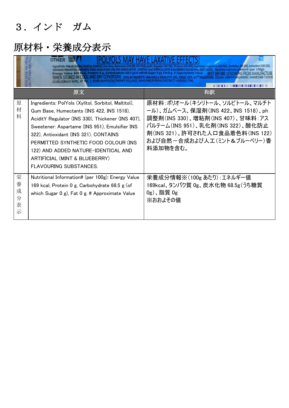# 3.インド ガム

|                            | INS 9531 Emulciner # 5 3221. Ar<br>Energy Value 169 kcal, Protein 0 g, Carbohydrate 68.5 g(of which Sugar 0 g), Fat 0 g. # Approximate Value<br><b>BY PERFETTI VAN MELLE INDIA P</b><br>RANAIPUDUCHERRY VILLAGE, KANCHEEPURAM DISTRICT- 603202 (TN).                                                                                                                                              |                                                                                                                                                                                                                          |  |  |  |  |  |
|----------------------------|---------------------------------------------------------------------------------------------------------------------------------------------------------------------------------------------------------------------------------------------------------------------------------------------------------------------------------------------------------------------------------------------------|--------------------------------------------------------------------------------------------------------------------------------------------------------------------------------------------------------------------------|--|--|--|--|--|
|                            | 原文                                                                                                                                                                                                                                                                                                                                                                                                | 和訳                                                                                                                                                                                                                       |  |  |  |  |  |
| 原<br>材<br>料                | Ingredients: PolYols (Xylitol, Sorbitol, Maltitol),<br>Gum Base, Humectants (INS 422, INS 1518),<br>AciditY Regulator (INS 330), Thickener (INS 407),<br>Sweetener: Aspartame (INS 951), Emulsifier INS<br>322), Antioxidant (INS 321). CONTAINS<br>PERMITTED SYNTHETIC FOOD COLOUR (INS<br>122) AND ADDED NATURE-IDENTICAL AND<br>ARTIFICIAL (MINT & BLUEBERRY)<br><b>FLAVOURING SUBSTANCES.</b> | 原材料:ポリオール(キシリトール、ソルビトール、マルチト<br>ール)、ガムベース、保湿剤(INS 422、INS 1518)、ph<br>調整剤(INS 330)、増粘剤(INS 407)、甘味料:アス<br>パルテーム(INS 951)、乳化剤(INS 322)、酸化防止<br>剤(INS 321)。許可された人口食品着色料(INS 122)<br>および自然-合成および人工(ミント&ブルーベリー)香<br>料添加物を含む。 |  |  |  |  |  |
| 栄<br>養<br>成<br>分<br>表<br>示 | Nutritional Information# (per 100g): Energy Value<br>169 kcal, Protein 0 g, Carbohydrate 68.5 g (of<br>which Sugar 0 g), Fat 0 g. # Approximate Value                                                                                                                                                                                                                                             | 栄養成分情報※(100g あたり) : エネルギー値<br>169kcal、タンパク質 0g、炭水化物 68.5g (うち糖質<br>$0g$ )、脂質 $0g$<br>※おおよその値                                                                                                                             |  |  |  |  |  |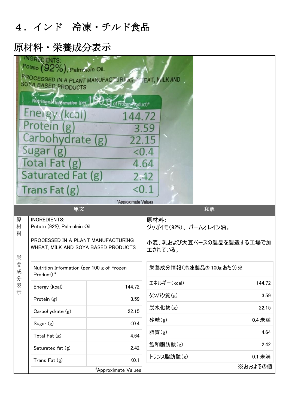### 4.インド 冷凍・チルド食品

|                  | <b>INGRNDIENTS:</b><br>Potato (92%), Palmolein Oil.<br>FROCESSED IN A PLANT MANUFACTURITY IS HEAT, MILK AND<br><b>SCYA BASED PRODUCTS</b><br>Nutritional Information (per<br>Energy (kcal)<br>Protein (g)<br>Carbohydrate (g)<br>Sugar (g)<br>Total Fat (g) | of Frozen Product)<br>144.72<br>22.15<br>< 0.4<br>4.64 | 3.59                                                                |         |  |
|------------------|-------------------------------------------------------------------------------------------------------------------------------------------------------------------------------------------------------------------------------------------------------------|--------------------------------------------------------|---------------------------------------------------------------------|---------|--|
|                  | Saturated Fat (g)<br>Trans Fat (g)                                                                                                                                                                                                                          | 2.42<br>< 0.1<br>*Approximate Values                   |                                                                     |         |  |
|                  | 原文                                                                                                                                                                                                                                                          |                                                        | 和訳                                                                  |         |  |
| 原<br>材<br>料      | <b>INGREDIENTS:</b><br>Potato (92%), Palmolein Oil.<br>PROCESSED IN A PLANT MANUFACTURING<br>WHEAT, MILK AND SOYA BASED PRODUCTS                                                                                                                            |                                                        | 原材料:<br>ジャガイモ(92%)、パームオレイン油。<br>小麦、乳および大豆ベースの製品を製造する工場で加<br>エされている。 |         |  |
| 栄<br>養<br>成<br>分 | Nutrition Information (per 100 g of Frozen<br>Product) <sup>#</sup>                                                                                                                                                                                         |                                                        | 栄養成分情報(冷凍製品の 100g あたり)※                                             |         |  |
| 表示               | Energy (kcal)                                                                                                                                                                                                                                               | 144.72                                                 | エネルギー(kcal)                                                         | 144.72  |  |
|                  | Protein (g)                                                                                                                                                                                                                                                 | 3.59                                                   | タンパク質(g)                                                            | 3.59    |  |
|                  | Carbohydrate (g)                                                                                                                                                                                                                                            | 22.15                                                  | 炭水化物(g)                                                             | 22.15   |  |
|                  | Sugar $(g)$                                                                                                                                                                                                                                                 | $\langle 0.4$                                          | 砂糖 $(g)$                                                            | 0.4 未満  |  |
|                  | Total Fat $(g)$                                                                                                                                                                                                                                             | 4.64                                                   | 脂質 $(g)$                                                            | 4.64    |  |
|                  | Saturated fat (g)                                                                                                                                                                                                                                           | 2.42                                                   | 飽和脂肪酸(g)                                                            | 2.42    |  |
|                  | Trans Fat (g)                                                                                                                                                                                                                                               | $0.1$                                                  | トランス脂肪酸(g)                                                          | 0.1 未満  |  |
|                  |                                                                                                                                                                                                                                                             | <i><b>*Approximate Values</b></i>                      |                                                                     | ※おおよその値 |  |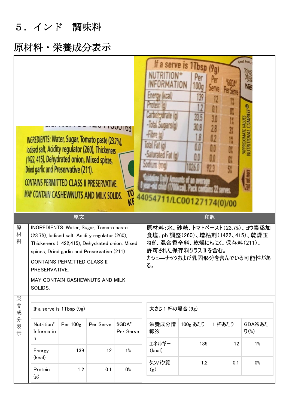5.インド 調味料